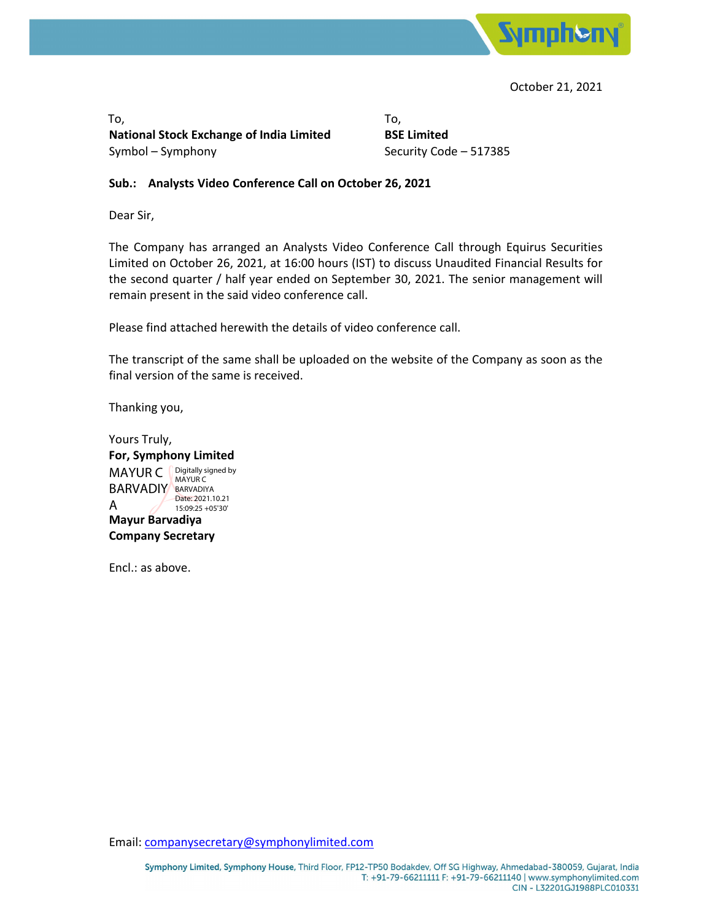

October 21, 2021

 $\mathsf{To},\mathsf{.}$ **National Stock Exchange of India Limited BSE Limited** Symbol – Symphony **Symbol – Symphony Security Code – 517385** 

#### **Sub.: Analysts Video Conference Call on October 26, 2021**

Dear Sir,

The Company has arranged an Analysts Video Conference Call through Equirus Securities Limited on October 26, 2021, at 16:00 hours (IST) to discuss Unaudited Financial Results for the second quarter / half year ended on September 30, 2021. The senior management will remain present in the said video conference call.

Please find attached herewith the details of video conference call.

The transcript of the same shall be uploaded on the website of the Company as soon as the final version of the same is received.

Thanking you,

Yours Truly, **For, Symphony Limited MAYUR C Digitally signed by Mayur Barvadiya Company Secretary** BARVADIY BARVADIYA A MAYUR C Date: 2021.10.21 15:09:25 +05'30'

Encl.: as above.

Email: companysecretary@symphonylimited.com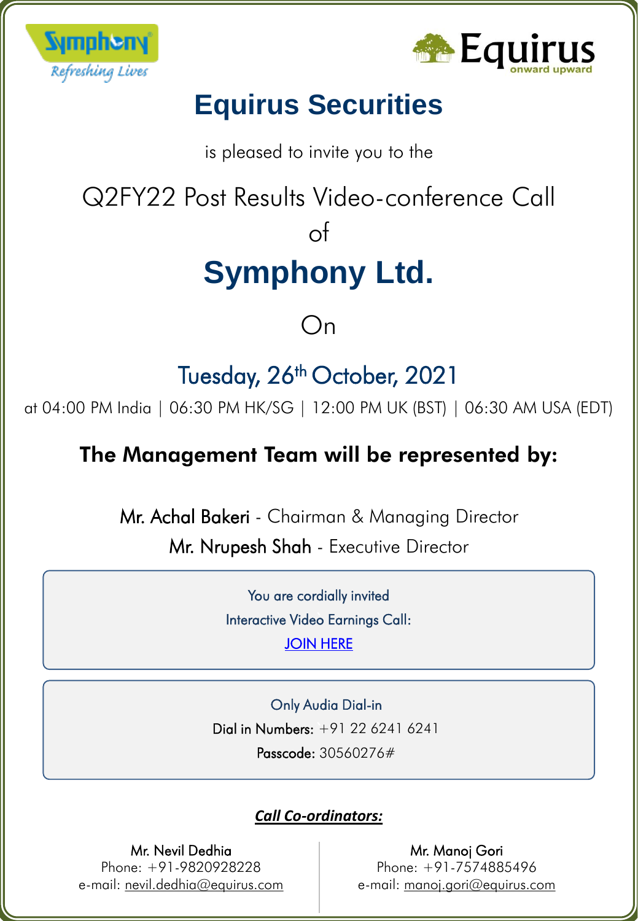



# **Equirus Securities**

is pleased to invite you to the

Q2FY22 Post Results Video-conference Call

# of

# **Symphony Ltd.**

# On

# Tuesday, 26<sup>th</sup> October, 2021

at 04:00 PM India | 06:30 PM HK/SG | 12:00 PM UK (BST) | 06:30 AM USA (EDT)

### The Management Team will be represented by:

Mr. Achal Bakeri - Chairman & Managing Director

Mr. Nrupesh Shah - Executive Director

` Interactive Video Earnings Call: You are cordially invited [JOIN HERE](https://www.c-meeting.com/web3/join/34TVBUPWZEBM2J)

` Dial in Numbers: +91 22 6241 6241 Only Audia Dial-in Passcode: 30560276#

### *Call Co-ordinators:*

### Mr. Nevil Dedhia

Phone: +91-9820928228 e-mail: nevil.dedhia@equirus.com

Mr. Manoj Gori Phone: +91-7574885496 e-mail: manoj.gori@equirus.com